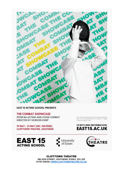

**EAST 15 ACTING SCHOOL PRESENTS** 

#### THE COMBAT SHOWCASE

FROM BA ACTING AND STAGE COMBAT **DIRECTED BY GORDON KEMP** 

19 MAY - 21 MAY (INC. MATINEE) **CLIFFTOWN THEATRE, SOUTHEND**  An action packed performance shawcasing the<br>best of the graduating BA Acting & Stage<br>Combat students work.

#### **TICKETS AND INFORMATION: EAST15.AC.UK**







**CLIFFTOWN THEATRE** NELSON STREET, SOUTHEND, ESSEX, SS1 1EF 01702 328335 | WWW.CLIFFTOWNTHEATRE.CO.UK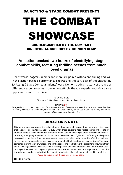#### BA ACTING & STAGE COMBAT PRESENTS

# THE COMBAT SHOWCASE

CHOREOGRAPHED BY THE COMPANY DIRECTORIAL SUPPORT BY GORDON KEMP

#### **An action packed two hours of electrifying stage combat skills, featuring thrilling scenes from much loved dramas**

Broadswords, daggers, rapiers and more are paired with talent, timing and skill in this action-packed performance showcasing the very best of the graduating BA Acting & Stage Combat students' work. Demonstrating mastery of a range of different weapon systems in one unforgettable theatre experience, this is a rare opportunity not to be missed!

#### **RUNNING TIME:**

*This show is 120mins long including a 15min interval.*

#### **RATING: 18+**

*This production contains depictions of extreme violence including sexual assault, torture and mutilation*, *loud noises, gunshots, fake blood and gore, scenes of a sexual nature, references to sex and incest, and strong language which some may find offensive.*

#### DIRECTOR'S NOTE

This performance represents the culmination of three years of rigorous training, often in the most challenging of circumstances. Back in 2019 when these students first started learning the craft of dramatic combat, we had no notion of that we would soon be teaching Quarterstaff technique classes on Zoom, attempting to create socially distanced Sword & Shield fights and performing Shakespeare masks with no audience. Now that we appear to have emerged from the other side of all that madness, I'd like this performance to be seen as a celebration of all that the students have achieved. This show contains a dizzying array of weapons and fighting styles and really allows the students to showcase their talents. Having said that, whilst the show is full of spectacular action it is often an uncomfortable watch, dealing with violence in a range of unpleasant characters and scenes. We are always seeking to find the truth of any scenario, ensuring that the characters and in turn the audience are affected by the violence. Please do take note of the content warnings above!

#### **Gordon Kemp**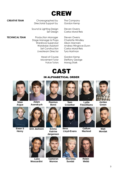

**CREATIVE TEAM** Choreographed by The Company Directorial Support by Gordon Kemp

Sound & Lighting Design Steven Owens

**TECHNICAL TEAM** Production Manager Steven Owens Stage Manager & Props Charlotte Windley Wardrove Supervisor Alison Manners Livestream Director Tyra Hartman

> Head of Course Gordon Kemp Movement Tutor Steffany George Voice Tutors Morag Stark

Set Design Carlos Moral Reis

Wardrobe Assistant Andrea Wingrove-Dunn Set Construction Carlos Moral Reis



#### IN ALPHABETICAL ORDER



**Séan Argue**





**Ewan S Henry**





**Rasmus Borst**





**Lydia Fitzwilliams**



**Green**



**Erin Jackson Emma** 



**Katrine Jørgensen**



**Bess Lloyd-Evans**



**Callum Macleod**



**Matt Mordak**



 **Luca Cameron Mia Elise Robin Moscardini Munroe Sundal Webb**





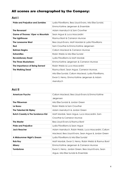#### All scenes are choregraphed by the Company:

#### **Act I**

| <b>Pride and Prejudice and Zombies</b>    | Lydia Fitzwilliams, Bess Lloyd-Evans, Mia Elise Sundal, |
|-------------------------------------------|---------------------------------------------------------|
|                                           | Emma Katrine Jørgensen & Ensemble                       |
| The Revenant                              | Adam Asendrych & Sam Crowther                           |
| <b>Game of Thrones: Viper vs Mountain</b> | Sean Argue & Luca Moscardini                            |
| The Lighthouse                            | Rasmus Borst & Cameron Munroe                           |
| The Lonesome West                         | Bess Lloyd-Evans, Matt Mordak & Lydia Fitzwilliams      |
| Red                                       | Sam Crowther & Emma Katrine Jørgensen                   |
| <b>Batman Begins</b>                      | Callum Macleod & Cameron Munroe                         |
| <b>Extremities</b>                        | Robin Webb & Mia Elise Sundal                           |
| <b>Revolutionary Road</b>                 | Lydia Fitzwilliams & Matt Mordak                        |
| The Three Musketeers                      | Emma Katrine Jørgensen & Cameron Munroe                 |
| The Importance of Being Earnest           | Robin Webb & Luca Moscardini                            |
| <b>The Walking Dead</b>                   | Rasmus Borst, Sean Argue, Cameron Munroe,               |
|                                           | Mia Elise Sundal, Callum Macleod, Lydia Fitzwilliams,   |
|                                           | Ewan S. Henry, Emma Katrine Jørgensen & Adam            |
|                                           | Asendrych                                               |

#### **Act II**

| <b>American Psycho</b>                      | Callum Macleod, Bess Lloyd-Evans & Emma Katrine       |
|---------------------------------------------|-------------------------------------------------------|
|                                             | Jørgensen                                             |
| <b>The Pillowman</b>                        | Mia Elise Sundal & Jordan Green                       |
| Le Bossu                                    | Robin Webb & Sam Crowther                             |
| The Talented Mr Ripley                      | Adam Asendrych & Jordan Green                         |
| <b>Butch Cassidy &amp; The Sundance Kid</b> | Matt Mordak, Sean Argue, Luca Moscardini, Sam         |
|                                             | Crowther & Cameron Munroe                             |
| <b>The Master</b>                           | Bess Lloyd-Evans & Rasmus Borst                       |
| <b>Pride and Prejudice</b>                  | Lydia Fitzwilliams & Sean Argue                       |
| <b>Jack Reacher</b>                         | Adam Asendrych, Robin Webb, Luca Moscardini, Callum   |
|                                             | Macleod, Bess Lloyd-Evans, Sean Argue & Jordan Green  |
| A Midsummer Night's Dream                   | Lydia Fitzwilliams & Mia Elise Sundal                 |
| Rob Roy                                     | Matt Mordak, Ewan S. Henry, Robin Webb & Rasmus Borst |
| <b>Misery</b>                               | Emma Katrine Jørgensen & Cameron Munroe               |
| <b>Tombstone</b>                            | Ewan S. Henry, Jordan Green, Bess Lloyd-Evans, Sean   |
|                                             | Argue, Mia Elise Sundal & Ensemble                    |